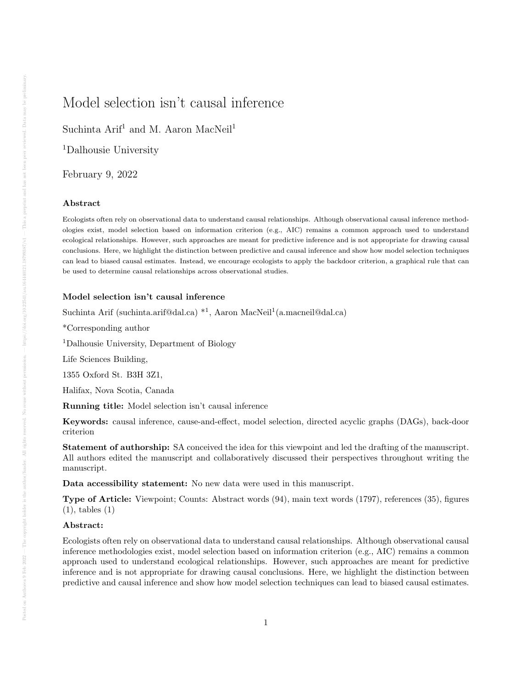# Model selection isn't causal inference

Suchinta Arif<sup>1</sup> and M. Aaron MacNeil<sup>1</sup>

<sup>1</sup>Dalhousie University

February 9, 2022

#### Abstract

Ecologists often rely on observational data to understand causal relationships. Although observational causal inference methodologies exist, model selection based on information criterion (e.g., AIC) remains a common approach used to understand ecological relationships. However, such approaches are meant for predictive inference and is not appropriate for drawing causal conclusions. Here, we highlight the distinction between predictive and causal inference and show how model selection techniques can lead to biased causal estimates. Instead, we encourage ecologists to apply the backdoor criterion, a graphical rule that can be used to determine causal relationships across observational studies.

# Model selection isn't causal inference

Suchinta Arif (suchinta.arif@dal.ca) \*<sup>1</sup>, Aaron MacNeil<sup>1</sup> (a.macneil@dal.ca)

\*Corresponding author

<sup>1</sup>Dalhousie University, Department of Biology

Life Sciences Building,

1355 Oxford St. B3H 3Z1,

Halifax, Nova Scotia, Canada

Running title: Model selection isn't causal inference

Keywords: causal inference, cause-and-effect, model selection, directed acyclic graphs (DAGs), back-door criterion

Statement of authorship: SA conceived the idea for this viewpoint and led the drafting of the manuscript. All authors edited the manuscript and collaboratively discussed their perspectives throughout writing the manuscript.

Data accessibility statement: No new data were used in this manuscript.

Type of Article: Viewpoint; Counts: Abstract words (94), main text words (1797), references (35), figures (1), tables (1)

## Abstract:

Ecologists often rely on observational data to understand causal relationships. Although observational causal inference methodologies exist, model selection based on information criterion (e.g., AIC) remains a common approach used to understand ecological relationships. However, such approaches are meant for predictive inference and is not appropriate for drawing causal conclusions. Here, we highlight the distinction between predictive and causal inference and show how model selection techniques can lead to biased causal estimates.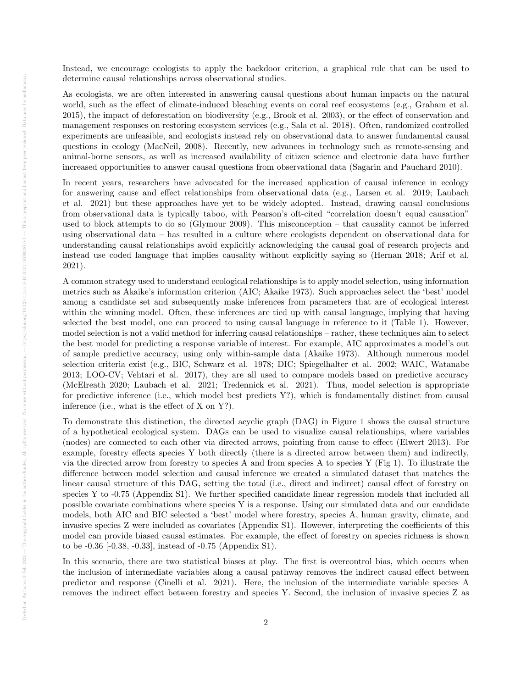Instead, we encourage ecologists to apply the backdoor criterion, a graphical rule that can be used to determine causal relationships across observational studies.

As ecologists, we are often interested in answering causal questions about human impacts on the natural world, such as the effect of climate-induced bleaching events on coral reef ecosystems (e.g., Graham et al. 2015), the impact of deforestation on biodiversity (e.g., Brook et al. 2003), or the effect of conservation and management responses on restoring ecosystem services (e.g., Sala et al. 2018). Often, randomized controlled experiments are unfeasible, and ecologists instead rely on observational data to answer fundamental causal questions in ecology (MacNeil, 2008). Recently, new advances in technology such as remote-sensing and animal-borne sensors, as well as increased availability of citizen science and electronic data have further increased opportunities to answer causal questions from observational data (Sagarin and Pauchard 2010).

In recent years, researchers have advocated for the increased application of causal inference in ecology for answering cause and effect relationships from observational data (e.g., Larsen et al. 2019; Laubach et al. 2021) but these approaches have yet to be widely adopted. Instead, drawing causal conclusions from observational data is typically taboo, with Pearson's oft-cited "correlation doesn't equal causation" used to block attempts to do so (Glymour 2009). This misconception – that causality cannot be inferred using observational data – has resulted in a culture where ecologists dependent on observational data for understanding causal relationships avoid explicitly acknowledging the causal goal of research projects and instead use coded language that implies causality without explicitly saying so (Hernan 2018; Arif et al. 2021).

A common strategy used to understand ecological relationships is to apply model selection, using information metrics such as Akaike's information criterion (AIC; Akaike 1973). Such approaches select the 'best' model among a candidate set and subsequently make inferences from parameters that are of ecological interest within the winning model. Often, these inferences are tied up with causal language, implying that having selected the best model, one can proceed to using causal language in reference to it (Table 1). However, model selection is not a valid method for inferring causal relationships – rather, these techniques aim to select the best model for predicting a response variable of interest. For example, AIC approximates a model's out of sample predictive accuracy, using only within-sample data (Akaike 1973). Although numerous model selection criteria exist (e.g., BIC, Schwarz et al. 1978; DIC; Spiegelhalter et al. 2002; WAIC, Watanabe 2013; LOO-CV; Vehtari et al. 2017), they are all used to compare models based on predictive accuracy (McElreath 2020; Laubach et al. 2021; Tredennick et al. 2021). Thus, model selection is appropriate for predictive inference (i.e., which model best predicts  $Y$ ?), which is fundamentally distinct from causal inference (i.e., what is the effect of X on Y?).

To demonstrate this distinction, the directed acyclic graph (DAG) in Figure 1 shows the causal structure of a hypothetical ecological system. DAGs can be used to visualize causal relationships, where variables (nodes) are connected to each other via directed arrows, pointing from cause to effect (Elwert 2013). For example, forestry effects species Y both directly (there is a directed arrow between them) and indirectly, via the directed arrow from forestry to species A and from species A to species Y (Fig 1). To illustrate the difference between model selection and causal inference we created a simulated dataset that matches the linear causal structure of this DAG, setting the total (i.e., direct and indirect) causal effect of forestry on species Y to -0.75 (Appendix S1). We further specified candidate linear regression models that included all possible covariate combinations where species Y is a response. Using our simulated data and our candidate models, both AIC and BIC selected a 'best' model where forestry, species A, human gravity, climate, and invasive species Z were included as covariates (Appendix S1). However, interpreting the coefficients of this model can provide biased causal estimates. For example, the effect of forestry on species richness is shown to be -0.36 [-0.38, -0.33], instead of -0.75 (Appendix S1).

In this scenario, there are two statistical biases at play. The first is overcontrol bias, which occurs when the inclusion of intermediate variables along a causal pathway removes the indirect causal effect between predictor and response (Cinelli et al. 2021). Here, the inclusion of the intermediate variable species A removes the indirect effect between forestry and species Y. Second, the inclusion of invasive species Z as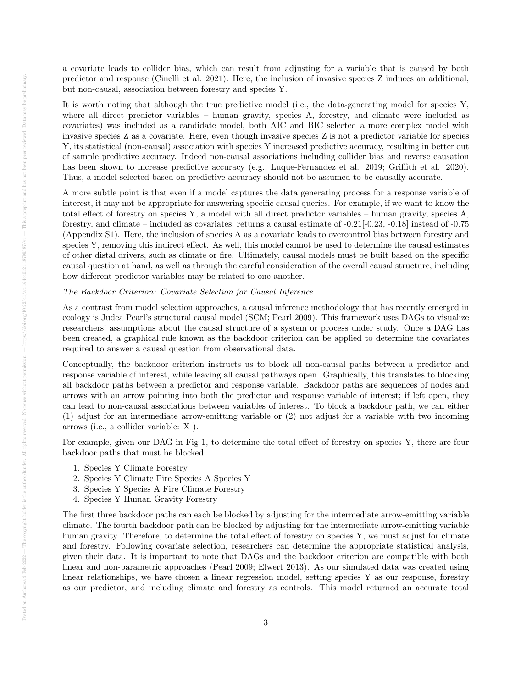a covariate leads to collider bias, which can result from adjusting for a variable that is caused by both predictor and response (Cinelli et al. 2021). Here, the inclusion of invasive species Z induces an additional, but non-causal, association between forestry and species Y.

It is worth noting that although the true predictive model (i.e., the data-generating model for species Y, where all direct predictor variables – human gravity, species A, forestry, and climate were included as covariates) was included as a candidate model, both AIC and BIC selected a more complex model with invasive species Z as a covariate. Here, even though invasive species Z is not a predictor variable for species Y, its statistical (non-causal) association with species Y increased predictive accuracy, resulting in better out of sample predictive accuracy. Indeed non-causal associations including collider bias and reverse causation has been shown to increase predictive accuracy (e.g., Luque-Fernandez et al. 2019; Griffith et al. 2020). Thus, a model selected based on predictive accuracy should not be assumed to be causally accurate.

A more subtle point is that even if a model captures the data generating process for a response variable of interest, it may not be appropriate for answering specific causal queries. For example, if we want to know the total effect of forestry on species Y, a model with all direct predictor variables – human gravity, species A, forestry, and climate – included as covariates, returns a causal estimate of  $-0.21[-0.23, -0.18]$  instead of  $-0.75$ (Appendix S1). Here, the inclusion of species A as a covariate leads to overcontrol bias between forestry and species Y, removing this indirect effect. As well, this model cannot be used to determine the causal estimates of other distal drivers, such as climate or fire. Ultimately, causal models must be built based on the specific causal question at hand, as well as through the careful consideration of the overall causal structure, including how different predictor variables may be related to one another.

#### The Backdoor Criterion: Covariate Selection for Causal Inference

As a contrast from model selection approaches, a causal inference methodology that has recently emerged in ecology is Judea Pearl's structural causal model (SCM; Pearl 2009). This framework uses DAGs to visualize researchers' assumptions about the causal structure of a system or process under study. Once a DAG has been created, a graphical rule known as the backdoor criterion can be applied to determine the covariates required to answer a causal question from observational data.

Conceptually, the backdoor criterion instructs us to block all non-causal paths between a predictor and response variable of interest, while leaving all causal pathways open. Graphically, this translates to blocking all backdoor paths between a predictor and response variable. Backdoor paths are sequences of nodes and arrows with an arrow pointing into both the predictor and response variable of interest; if left open, they can lead to non-causal associations between variables of interest. To block a backdoor path, we can either (1) adjust for an intermediate arrow-emitting variable or (2) not adjust for a variable with two incoming arrows (i.e., a collider variable: X ).

For example, given our DAG in Fig 1, to determine the total effect of forestry on species Y, there are four backdoor paths that must be blocked:

- 1. Species Y Climate Forestry
- 2. Species Y Climate Fire Species A Species Y
- 3. Species Y Species A Fire Climate Forestry
- 4. Species Y Human Gravity Forestry

The first three backdoor paths can each be blocked by adjusting for the intermediate arrow-emitting variable climate. The fourth backdoor path can be blocked by adjusting for the intermediate arrow-emitting variable human gravity. Therefore, to determine the total effect of forestry on species Y, we must adjust for climate and forestry. Following covariate selection, researchers can determine the appropriate statistical analysis, given their data. It is important to note that DAGs and the backdoor criterion are compatible with both linear and non-parametric approaches (Pearl 2009; Elwert 2013). As our simulated data was created using linear relationships, we have chosen a linear regression model, setting species Y as our response, forestry as our predictor, and including climate and forestry as controls. This model returned an accurate total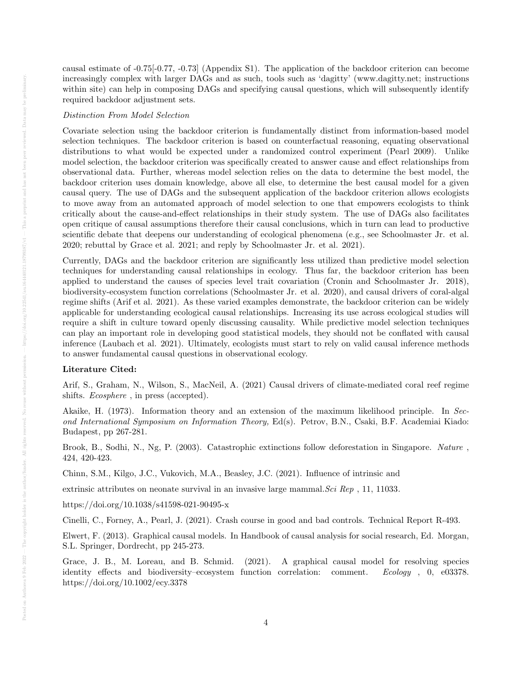causal estimate of -0.75[-0.77, -0.73] (Appendix S1). The application of the backdoor criterion can become increasingly complex with larger DAGs and as such, tools such as 'dagitty' (www.dagitty.net; instructions within site) can help in composing DAGs and specifying causal questions, which will subsequently identify required backdoor adjustment sets.

## Distinction From Model Selection

Covariate selection using the backdoor criterion is fundamentally distinct from information-based model selection techniques. The backdoor criterion is based on counterfactual reasoning, equating observational distributions to what would be expected under a randomized control experiment (Pearl 2009). Unlike model selection, the backdoor criterion was specifically created to answer cause and effect relationships from observational data. Further, whereas model selection relies on the data to determine the best model, the backdoor criterion uses domain knowledge, above all else, to determine the best causal model for a given causal query. The use of DAGs and the subsequent application of the backdoor criterion allows ecologists to move away from an automated approach of model selection to one that empowers ecologists to think critically about the cause-and-effect relationships in their study system. The use of DAGs also facilitates open critique of causal assumptions therefore their causal conclusions, which in turn can lead to productive scientific debate that deepens our understanding of ecological phenomena (e.g., see Schoolmaster Jr. et al. 2020; rebuttal by Grace et al. 2021; and reply by Schoolmaster Jr. et al. 2021).

Currently, DAGs and the backdoor criterion are significantly less utilized than predictive model selection techniques for understanding causal relationships in ecology. Thus far, the backdoor criterion has been applied to understand the causes of species level trait covariation (Cronin and Schoolmaster Jr. 2018), biodiversity-ecosystem function correlations (Schoolmaster Jr. et al. 2020), and causal drivers of coral-algal regime shifts (Arif et al. 2021). As these varied examples demonstrate, the backdoor criterion can be widely applicable for understanding ecological causal relationships. Increasing its use across ecological studies will require a shift in culture toward openly discussing causality. While predictive model selection techniques can play an important role in developing good statistical models, they should not be conflated with causal inference (Laubach et al. 2021). Ultimately, ecologists must start to rely on valid causal inference methods to answer fundamental causal questions in observational ecology.

#### Literature Cited:

Arif, S., Graham, N., Wilson, S., MacNeil, A. (2021) Causal drivers of climate-mediated coral reef regime shifts. Ecosphere , in press (accepted).

Akaike, H. (1973). Information theory and an extension of the maximum likelihood principle. In Second International Symposium on Information Theory, Ed(s). Petrov, B.N., Csaki, B.F. Academiai Kiado: Budapest, pp 267-281.

Brook, B., Sodhi, N., Ng, P. (2003). Catastrophic extinctions follow deforestation in Singapore. Nature , 424, 420-423.

Chinn, S.M., Kilgo, J.C., Vukovich, M.A., Beasley, J.C. (2021). Influence of intrinsic and

extrinsic attributes on neonate survival in an invasive large mammal. Sci Rep , 11, 11033.

https://doi.org/10.1038/s41598-021-90495-x

Cinelli, C., Forney, A., Pearl, J. (2021). Crash course in good and bad controls. Technical Report R-493.

Elwert, F. (2013). Graphical causal models. In Handbook of causal analysis for social research, Ed. Morgan, S.L. Springer, Dordrecht, pp 245-273.

Grace, J. B., M. Loreau, and B. Schmid. (2021). A graphical causal model for resolving species identity effects and biodiversity–ecosystem function correlation: comment. Ecology , 0, e03378. https://doi.org/10.1002/ecy.3378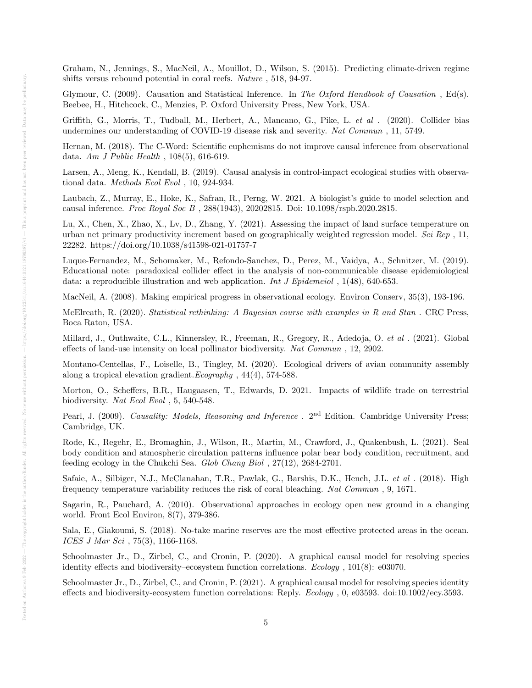Graham, N., Jennings, S., MacNeil, A., Mouillot, D., Wilson, S. (2015). Predicting climate-driven regime shifts versus rebound potential in coral reefs. Nature , 518, 94-97.

Glymour, C. (2009). Causation and Statistical Inference. In The Oxford Handbook of Causation, Ed(s). Beebee, H., Hitchcock, C., Menzies, P. Oxford University Press, New York, USA.

Griffith, G., Morris, T., Tudball, M., Herbert, A., Mancano, G., Pike, L. et al . (2020). Collider bias undermines our understanding of COVID-19 disease risk and severity. Nat Commun , 11, 5749.

Hernan, M. (2018). The C-Word: Scientific euphemisms do not improve causal inference from observational data. Am J Public Health , 108(5), 616-619.

Larsen, A., Meng, K., Kendall, B. (2019). Causal analysis in control-impact ecological studies with observational data. Methods Ecol Evol , 10, 924-934.

Laubach, Z., Murray, E., Hoke, K., Safran, R., Perng, W. 2021. A biologist's guide to model selection and causal inference. Proc Royal Soc B , 288(1943), 20202815. Doi: 10.1098/rspb.2020.2815.

Lu, X., Chen, X., Zhao, X., Lv, D., Zhang, Y. (2021). Assessing the impact of land surface temperature on urban net primary productivity increment based on geographically weighted regression model. Sci Rep , 11, 22282. https://doi.org/10.1038/s41598-021-01757-7

Luque-Fernandez, M., Schomaker, M., Refondo-Sanchez, D., Perez, M., Vaidya, A., Schnitzer, M. (2019). Educational note: paradoxical collider effect in the analysis of non-communicable disease epidemiological data: a reproducible illustration and web application. Int J Epidemeiol, 1(48), 640-653.

MacNeil, A. (2008). Making empirical progress in observational ecology. Environ Conserv, 35(3), 193-196.

McElreath, R. (2020). Statistical rethinking: A Bayesian course with examples in R and Stan . CRC Press, Boca Raton, USA.

Millard, J., Outhwaite, C.L., Kinnersley, R., Freeman, R., Gregory, R., Adedoja, O. et al . (2021). Global effects of land-use intensity on local pollinator biodiversity. Nat Commun , 12, 2902.

Montano-Centellas, F., Loiselle, B., Tingley, M. (2020). Ecological drivers of avian community assembly along a tropical elevation gradient.Ecography , 44(4), 574-588.

Morton, O., Scheffers, B.R., Haugaasen, T., Edwards, D. 2021. Impacts of wildlife trade on terrestrial biodiversity. Nat Ecol Evol , 5, 540-548.

Pearl, J. (2009). Causality: Models, Reasoning and Inference . 2<sup>nd</sup> Edition. Cambridge University Press; Cambridge, UK.

Rode, K., Regehr, E., Bromaghin, J., Wilson, R., Martin, M., Crawford, J., Quakenbush, L. (2021). Seal body condition and atmospheric circulation patterns influence polar bear body condition, recruitment, and feeding ecology in the Chukchi Sea. Glob Chang Biol , 27(12), 2684-2701.

Safaie, A., Silbiger, N.J., McClanahan, T.R., Pawlak, G., Barshis, D.K., Hench, J.L. et al . (2018). High frequency temperature variability reduces the risk of coral bleaching. Nat Commun , 9, 1671.

Sagarin, R., Pauchard, A. (2010). Observational approaches in ecology open new ground in a changing world. Front Ecol Environ, 8(7), 379-386.

Sala, E., Giakoumi, S. (2018). No-take marine reserves are the most effective protected areas in the ocean. ICES J Mar Sci , 75(3), 1166-1168.

Schoolmaster Jr., D., Zirbel, C., and Cronin, P. (2020). A graphical causal model for resolving species identity effects and biodiversity–ecosystem function correlations. Ecology , 101(8): e03070.

Schoolmaster Jr., D., Zirbel, C., and Cronin, P. (2021). A graphical causal model for resolving species identity effects and biodiversity-ecosystem function correlations: Reply. Ecology , 0, e03593. doi:10.1002/ecy.3593.